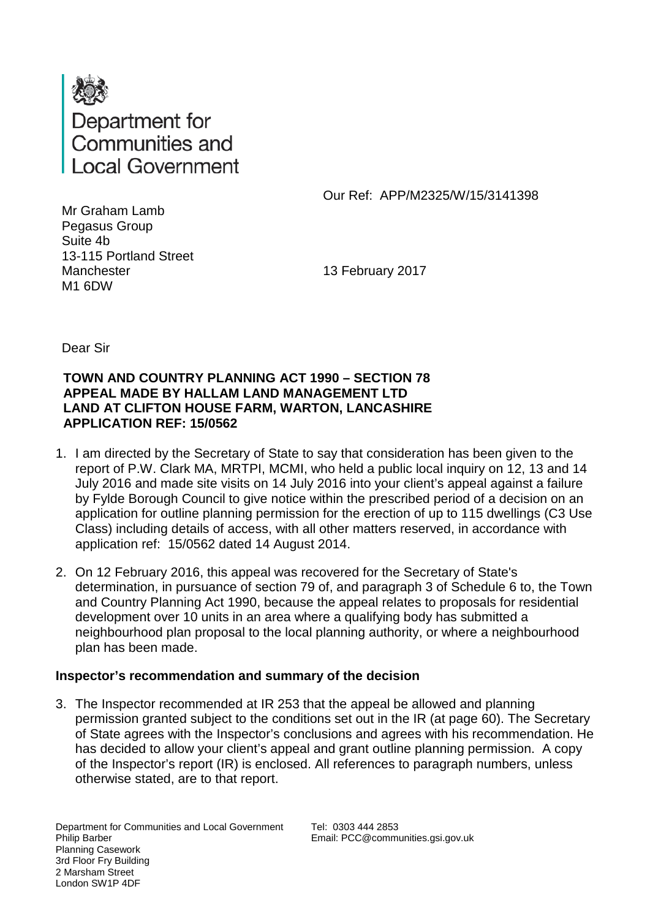

Our Ref: APP/M2325/W/15/3141398

Mr Graham Lamb Pegasus Group Suite 4b 13-115 Portland Street **Manchester** M1 6DW

13 February 2017

Dear Sir

#### **TOWN AND COUNTRY PLANNING ACT 1990 – SECTION 78 APPEAL MADE BY HALLAM LAND MANAGEMENT LTD LAND AT CLIFTON HOUSE FARM, WARTON, LANCASHIRE APPLICATION REF: 15/0562**

- 1. I am directed by the Secretary of State to say that consideration has been given to the report of P.W. Clark MA, MRTPI, MCMI, who held a public local inquiry on 12, 13 and 14 July 2016 and made site visits on 14 July 2016 into your client's appeal against a failure by Fylde Borough Council to give notice within the prescribed period of a decision on an application for outline planning permission for the erection of up to 115 dwellings (C3 Use Class) including details of access, with all other matters reserved, in accordance with application ref: 15/0562 dated 14 August 2014.
- 2. On 12 February 2016, this appeal was recovered for the Secretary of State's determination, in pursuance of section 79 of, and paragraph 3 of Schedule 6 to, the Town and Country Planning Act 1990, because the appeal relates to proposals for residential development over 10 units in an area where a qualifying body has submitted a neighbourhood plan proposal to the local planning authority, or where a neighbourhood plan has been made.

# **Inspector's recommendation and summary of the decision**

3. The Inspector recommended at IR 253 that the appeal be allowed and planning permission granted subject to the conditions set out in the IR (at page 60). The Secretary of State agrees with the Inspector's conclusions and agrees with his recommendation. He has decided to allow your client's appeal and grant outline planning permission. A copy of the Inspector's report (IR) is enclosed. All references to paragraph numbers, unless otherwise stated, are to that report.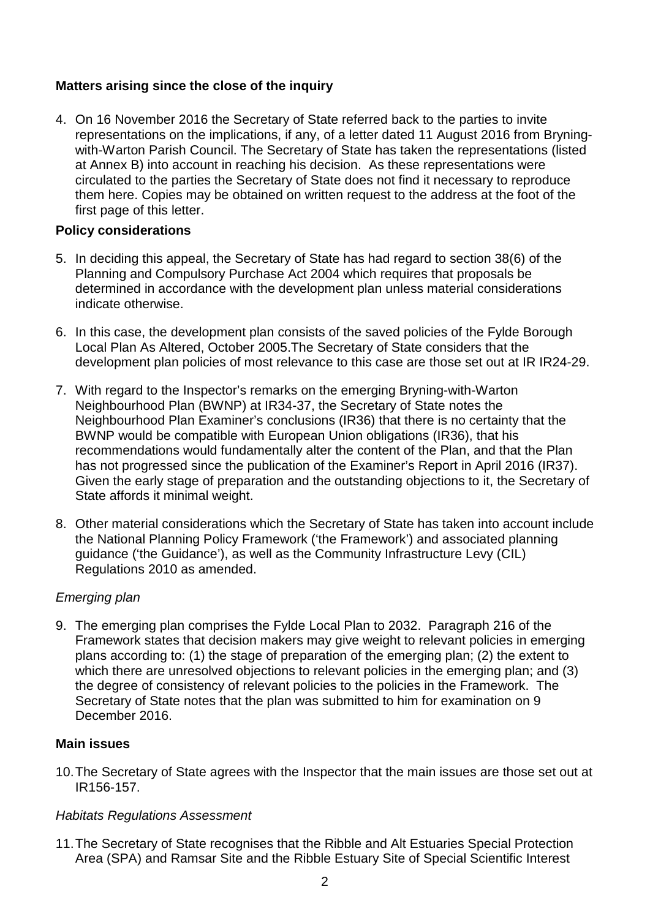# **Matters arising since the close of the inquiry**

4. On 16 November 2016 the Secretary of State referred back to the parties to invite representations on the implications, if any, of a letter dated 11 August 2016 from Bryningwith-Warton Parish Council. The Secretary of State has taken the representations (listed at Annex B) into account in reaching his decision. As these representations were circulated to the parties the Secretary of State does not find it necessary to reproduce them here. Copies may be obtained on written request to the address at the foot of the first page of this letter.

#### **Policy considerations**

- 5. In deciding this appeal, the Secretary of State has had regard to section 38(6) of the Planning and Compulsory Purchase Act 2004 which requires that proposals be determined in accordance with the development plan unless material considerations indicate otherwise.
- 6. In this case, the development plan consists of the saved policies of the Fylde Borough Local Plan As Altered, October 2005.The Secretary of State considers that the development plan policies of most relevance to this case are those set out at IR IR24-29.
- 7. With regard to the Inspector's remarks on the emerging Bryning-with-Warton Neighbourhood Plan (BWNP) at IR34-37, the Secretary of State notes the Neighbourhood Plan Examiner's conclusions (IR36) that there is no certainty that the BWNP would be compatible with European Union obligations (IR36), that his recommendations would fundamentally alter the content of the Plan, and that the Plan has not progressed since the publication of the Examiner's Report in April 2016 (IR37). Given the early stage of preparation and the outstanding objections to it, the Secretary of State affords it minimal weight.
- 8. Other material considerations which the Secretary of State has taken into account include the National Planning Policy Framework ('the Framework') and associated planning guidance ('the Guidance'), as well as the Community Infrastructure Levy (CIL) Regulations 2010 as amended.

# *Emerging plan*

9. The emerging plan comprises the Fylde Local Plan to 2032. Paragraph 216 of the Framework states that decision makers may give weight to relevant policies in emerging plans according to: (1) the stage of preparation of the emerging plan; (2) the extent to which there are unresolved objections to relevant policies in the emerging plan; and (3) the degree of consistency of relevant policies to the policies in the Framework. The Secretary of State notes that the plan was submitted to him for examination on 9 December 2016.

# **Main issues**

10.The Secretary of State agrees with the Inspector that the main issues are those set out at IR156-157.

# *Habitats Regulations Assessment*

11.The Secretary of State recognises that the Ribble and Alt Estuaries Special Protection Area (SPA) and Ramsar Site and the Ribble Estuary Site of Special Scientific Interest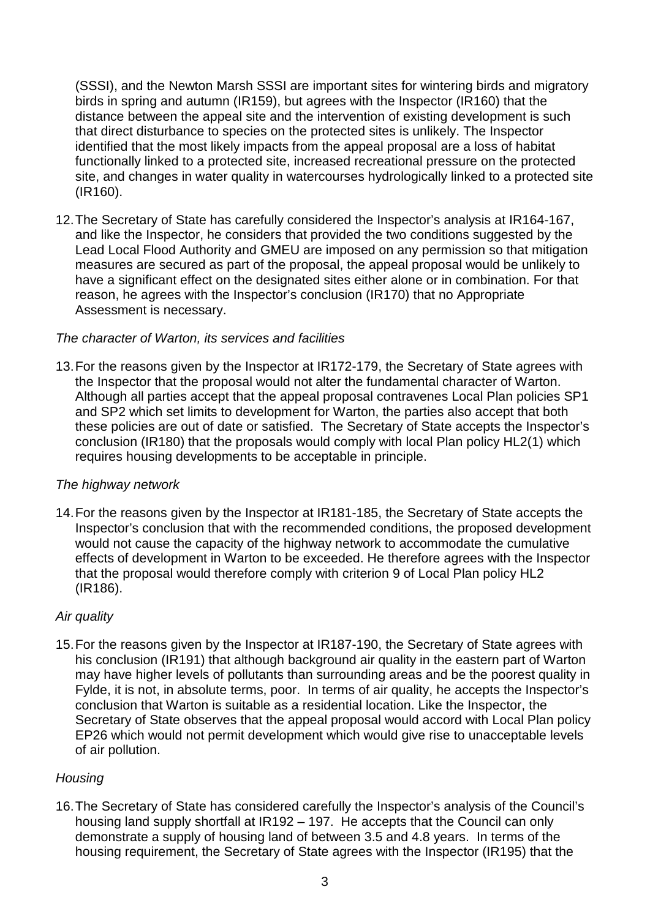(SSSI), and the Newton Marsh SSSI are important sites for wintering birds and migratory birds in spring and autumn (IR159), but agrees with the Inspector (IR160) that the distance between the appeal site and the intervention of existing development is such that direct disturbance to species on the protected sites is unlikely. The Inspector identified that the most likely impacts from the appeal proposal are a loss of habitat functionally linked to a protected site, increased recreational pressure on the protected site, and changes in water quality in watercourses hydrologically linked to a protected site (IR160).

12.The Secretary of State has carefully considered the Inspector's analysis at IR164-167, and like the Inspector, he considers that provided the two conditions suggested by the Lead Local Flood Authority and GMEU are imposed on any permission so that mitigation measures are secured as part of the proposal, the appeal proposal would be unlikely to have a significant effect on the designated sites either alone or in combination. For that reason, he agrees with the Inspector's conclusion (IR170) that no Appropriate Assessment is necessary.

# *The character of Warton, its services and facilities*

13.For the reasons given by the Inspector at IR172-179, the Secretary of State agrees with the Inspector that the proposal would not alter the fundamental character of Warton. Although all parties accept that the appeal proposal contravenes Local Plan policies SP1 and SP2 which set limits to development for Warton, the parties also accept that both these policies are out of date or satisfied. The Secretary of State accepts the Inspector's conclusion (IR180) that the proposals would comply with local Plan policy HL2(1) which requires housing developments to be acceptable in principle.

#### *The highway network*

14.For the reasons given by the Inspector at IR181-185, the Secretary of State accepts the Inspector's conclusion that with the recommended conditions, the proposed development would not cause the capacity of the highway network to accommodate the cumulative effects of development in Warton to be exceeded. He therefore agrees with the Inspector that the proposal would therefore comply with criterion 9 of Local Plan policy HL2 (IR186).

#### *Air quality*

15.For the reasons given by the Inspector at IR187-190, the Secretary of State agrees with his conclusion (IR191) that although background air quality in the eastern part of Warton may have higher levels of pollutants than surrounding areas and be the poorest quality in Fylde, it is not, in absolute terms, poor. In terms of air quality, he accepts the Inspector's conclusion that Warton is suitable as a residential location. Like the Inspector, the Secretary of State observes that the appeal proposal would accord with Local Plan policy EP26 which would not permit development which would give rise to unacceptable levels of air pollution.

# *Housing*

16.The Secretary of State has considered carefully the Inspector's analysis of the Council's housing land supply shortfall at IR192 – 197. He accepts that the Council can only demonstrate a supply of housing land of between 3.5 and 4.8 years. In terms of the housing requirement, the Secretary of State agrees with the Inspector (IR195) that the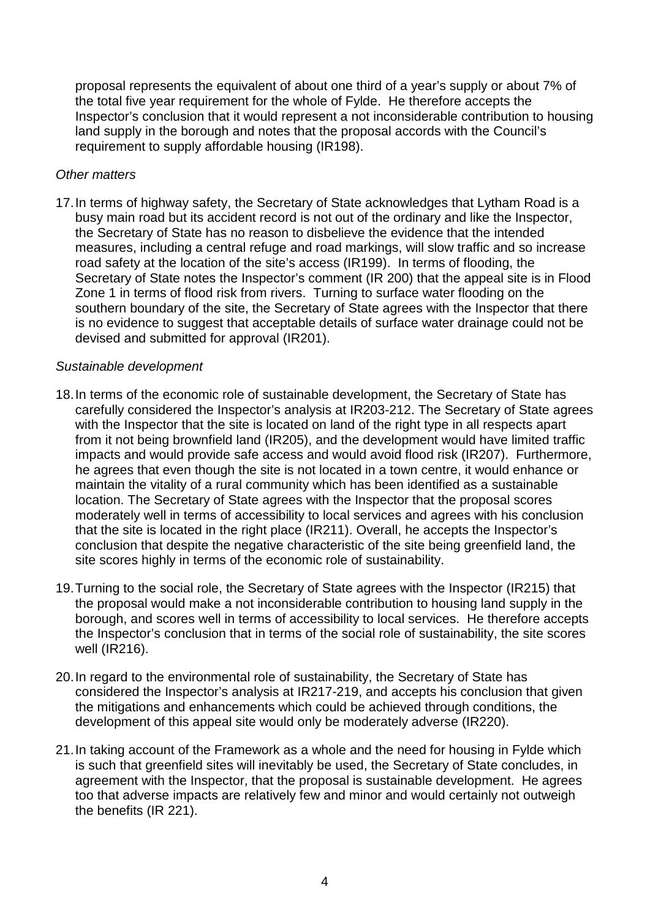proposal represents the equivalent of about one third of a year's supply or about 7% of the total five year requirement for the whole of Fylde. He therefore accepts the Inspector's conclusion that it would represent a not inconsiderable contribution to housing land supply in the borough and notes that the proposal accords with the Council's requirement to supply affordable housing (IR198).

#### *Other matters*

17.In terms of highway safety, the Secretary of State acknowledges that Lytham Road is a busy main road but its accident record is not out of the ordinary and like the Inspector, the Secretary of State has no reason to disbelieve the evidence that the intended measures, including a central refuge and road markings, will slow traffic and so increase road safety at the location of the site's access (IR199). In terms of flooding, the Secretary of State notes the Inspector's comment (IR 200) that the appeal site is in Flood Zone 1 in terms of flood risk from rivers. Turning to surface water flooding on the southern boundary of the site, the Secretary of State agrees with the Inspector that there is no evidence to suggest that acceptable details of surface water drainage could not be devised and submitted for approval (IR201).

#### *Sustainable development*

- 18.In terms of the economic role of sustainable development, the Secretary of State has carefully considered the Inspector's analysis at IR203-212. The Secretary of State agrees with the Inspector that the site is located on land of the right type in all respects apart from it not being brownfield land (IR205), and the development would have limited traffic impacts and would provide safe access and would avoid flood risk (IR207). Furthermore, he agrees that even though the site is not located in a town centre, it would enhance or maintain the vitality of a rural community which has been identified as a sustainable location. The Secretary of State agrees with the Inspector that the proposal scores moderately well in terms of accessibility to local services and agrees with his conclusion that the site is located in the right place (IR211). Overall, he accepts the Inspector's conclusion that despite the negative characteristic of the site being greenfield land, the site scores highly in terms of the economic role of sustainability.
- 19.Turning to the social role, the Secretary of State agrees with the Inspector (IR215) that the proposal would make a not inconsiderable contribution to housing land supply in the borough, and scores well in terms of accessibility to local services. He therefore accepts the Inspector's conclusion that in terms of the social role of sustainability, the site scores well (IR216).
- 20.In regard to the environmental role of sustainability, the Secretary of State has considered the Inspector's analysis at IR217-219, and accepts his conclusion that given the mitigations and enhancements which could be achieved through conditions, the development of this appeal site would only be moderately adverse (IR220).
- 21.In taking account of the Framework as a whole and the need for housing in Fylde which is such that greenfield sites will inevitably be used, the Secretary of State concludes, in agreement with the Inspector, that the proposal is sustainable development. He agrees too that adverse impacts are relatively few and minor and would certainly not outweigh the benefits (IR 221).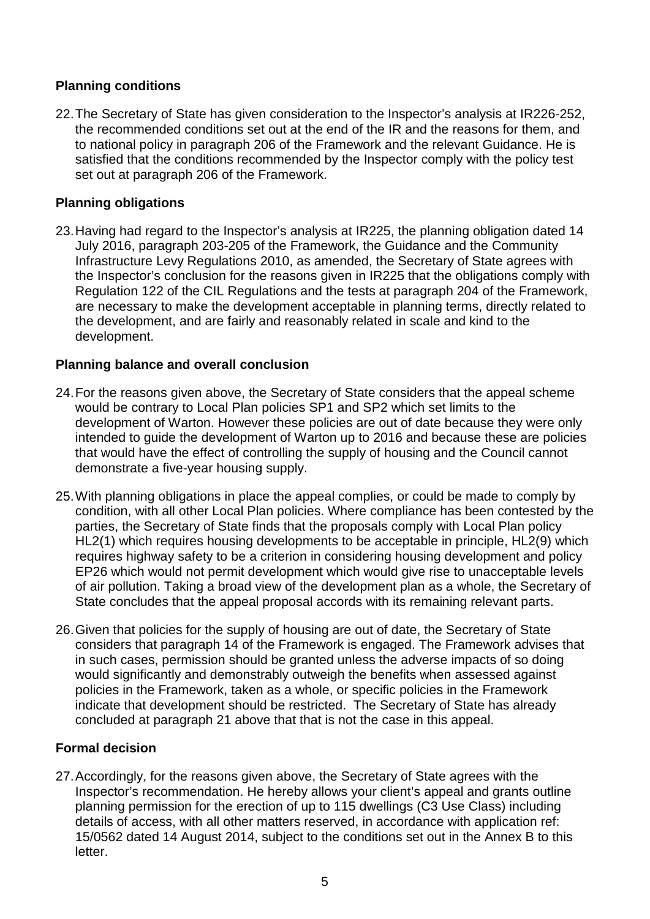# **Planning conditions**

22.The Secretary of State has given consideration to the Inspector's analysis at IR226-252, the recommended conditions set out at the end of the IR and the reasons for them, and to national policy in paragraph 206 of the Framework and the relevant Guidance. He is satisfied that the conditions recommended by the Inspector comply with the policy test set out at paragraph 206 of the Framework.

# **Planning obligations**

23.Having had regard to the Inspector's analysis at IR225, the planning obligation dated 14 July 2016, paragraph 203-205 of the Framework, the Guidance and the Community Infrastructure Levy Regulations 2010, as amended, the Secretary of State agrees with the Inspector's conclusion for the reasons given in IR225 that the obligations comply with Regulation 122 of the CIL Regulations and the tests at paragraph 204 of the Framework, are necessary to make the development acceptable in planning terms, directly related to the development, and are fairly and reasonably related in scale and kind to the development.

## **Planning balance and overall conclusion**

- 24.For the reasons given above, the Secretary of State considers that the appeal scheme would be contrary to Local Plan policies SP1 and SP2 which set limits to the development of Warton. However these policies are out of date because they were only intended to guide the development of Warton up to 2016 and because these are policies that would have the effect of controlling the supply of housing and the Council cannot demonstrate a five-year housing supply.
- 25.With planning obligations in place the appeal complies, or could be made to comply by condition, with all other Local Plan policies. Where compliance has been contested by the parties, the Secretary of State finds that the proposals comply with Local Plan policy HL2(1) which requires housing developments to be acceptable in principle, HL2(9) which requires highway safety to be a criterion in considering housing development and policy EP26 which would not permit development which would give rise to unacceptable levels of air pollution. Taking a broad view of the development plan as a whole, the Secretary of State concludes that the appeal proposal accords with its remaining relevant parts.
- 26.Given that policies for the supply of housing are out of date, the Secretary of State considers that paragraph 14 of the Framework is engaged. The Framework advises that in such cases, permission should be granted unless the adverse impacts of so doing would significantly and demonstrably outweigh the benefits when assessed against policies in the Framework, taken as a whole, or specific policies in the Framework indicate that development should be restricted. The Secretary of State has already concluded at paragraph 21 above that that is not the case in this appeal.

# **Formal decision**

27.Accordingly, for the reasons given above, the Secretary of State agrees with the Inspector's recommendation. He hereby allows your client's appeal and grants outline planning permission for the erection of up to 115 dwellings (C3 Use Class) including details of access, with all other matters reserved, in accordance with application ref: 15/0562 dated 14 August 2014, subject to the conditions set out in the Annex B to this letter.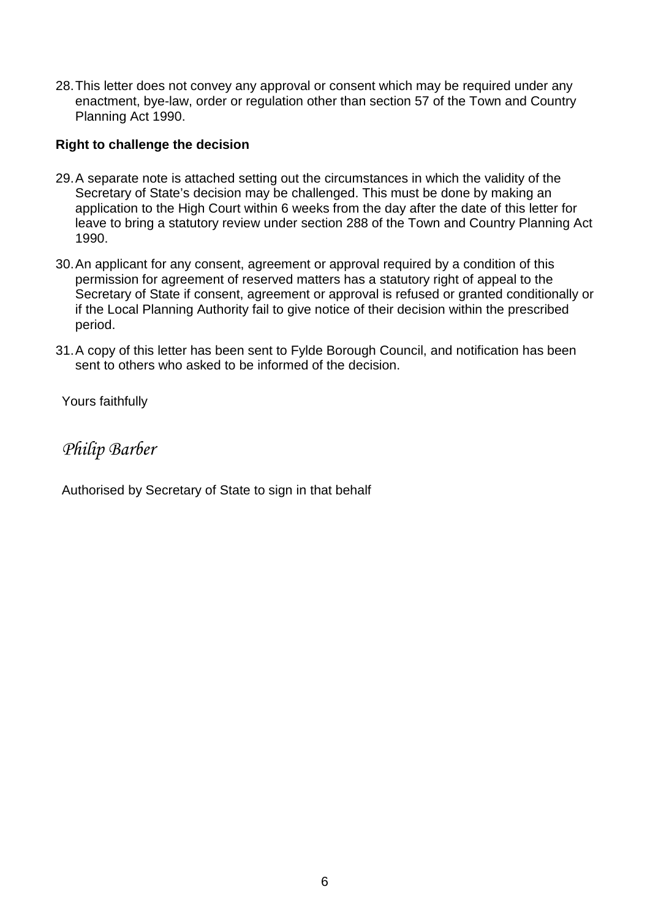28.This letter does not convey any approval or consent which may be required under any enactment, bye-law, order or regulation other than section 57 of the Town and Country Planning Act 1990.

## **Right to challenge the decision**

- 29.A separate note is attached setting out the circumstances in which the validity of the Secretary of State's decision may be challenged. This must be done by making an application to the High Court within 6 weeks from the day after the date of this letter for leave to bring a statutory review under section 288 of the Town and Country Planning Act 1990.
- 30.An applicant for any consent, agreement or approval required by a condition of this permission for agreement of reserved matters has a statutory right of appeal to the Secretary of State if consent, agreement or approval is refused or granted conditionally or if the Local Planning Authority fail to give notice of their decision within the prescribed period.
- 31.A copy of this letter has been sent to Fylde Borough Council, and notification has been sent to others who asked to be informed of the decision.

Yours faithfully

*Philip Barber*

Authorised by Secretary of State to sign in that behalf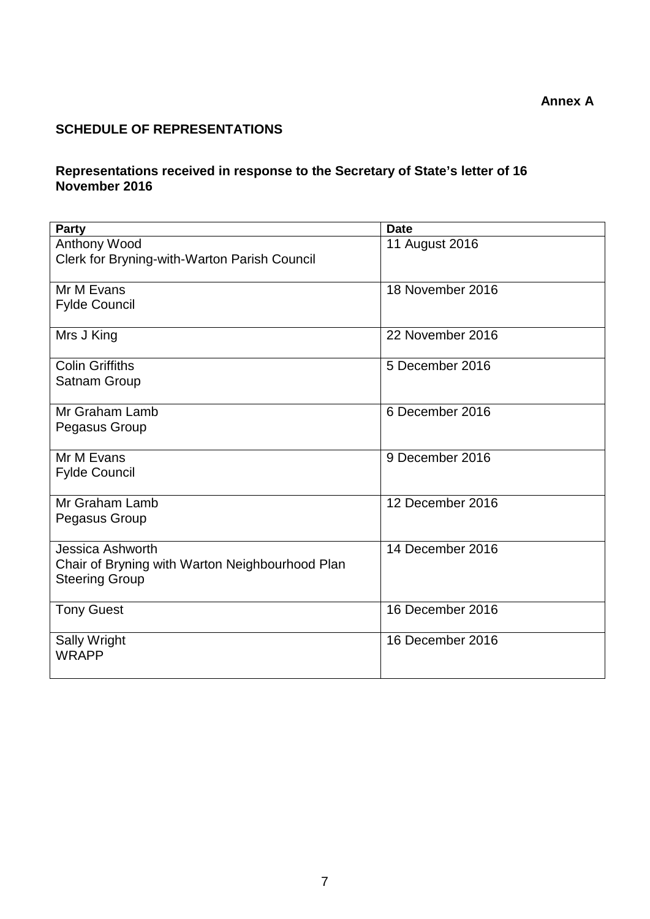**Annex A**

# **SCHEDULE OF REPRESENTATIONS**

## **Representations received in response to the Secretary of State's letter of 16 November 2016**

| <b>Party</b>                                                             | <b>Date</b>      |
|--------------------------------------------------------------------------|------------------|
| Anthony Wood                                                             | 11 August 2016   |
| Clerk for Bryning-with-Warton Parish Council                             |                  |
|                                                                          |                  |
| Mr M Evans                                                               | 18 November 2016 |
| <b>Fylde Council</b>                                                     |                  |
| Mrs J King                                                               | 22 November 2016 |
|                                                                          |                  |
| <b>Colin Griffiths</b>                                                   | 5 December 2016  |
| Satnam Group                                                             |                  |
|                                                                          |                  |
| Mr Graham Lamb                                                           | 6 December 2016  |
| Pegasus Group                                                            |                  |
| Mr M Evans                                                               | 9 December 2016  |
| <b>Fylde Council</b>                                                     |                  |
|                                                                          |                  |
| Mr Graham Lamb                                                           | 12 December 2016 |
| Pegasus Group                                                            |                  |
|                                                                          |                  |
| Jessica Ashworth                                                         | 14 December 2016 |
| Chair of Bryning with Warton Neighbourhood Plan<br><b>Steering Group</b> |                  |
|                                                                          |                  |
| <b>Tony Guest</b>                                                        | 16 December 2016 |
|                                                                          |                  |
| <b>Sally Wright</b>                                                      | 16 December 2016 |
| <b>WRAPP</b>                                                             |                  |
|                                                                          |                  |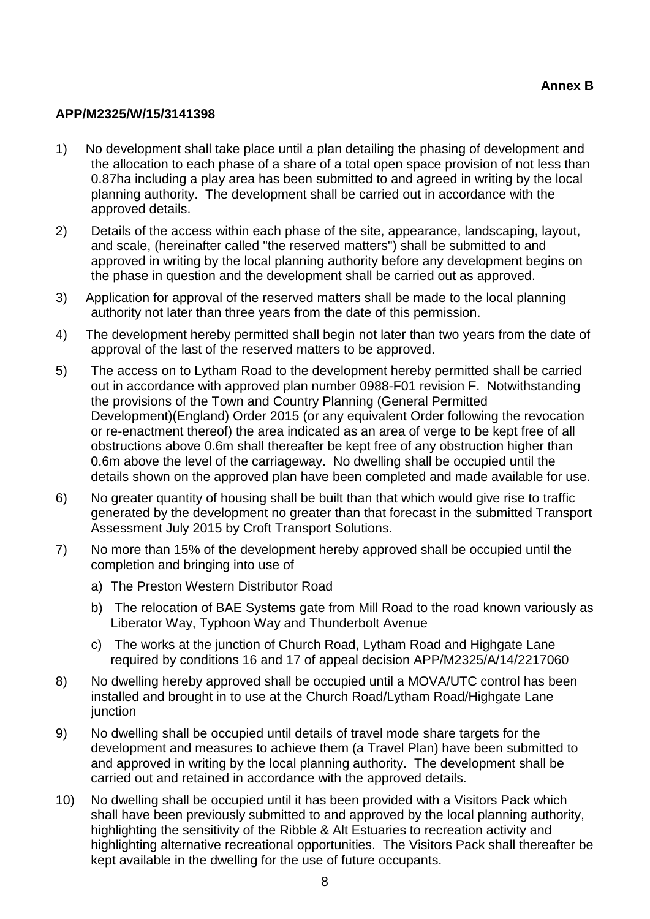#### **APP/M2325/W/15/3141398**

- 1) No development shall take place until a plan detailing the phasing of development and the allocation to each phase of a share of a total open space provision of not less than 0.87ha including a play area has been submitted to and agreed in writing by the local planning authority. The development shall be carried out in accordance with the approved details.
- 2) Details of the access within each phase of the site, appearance, landscaping, layout, and scale, (hereinafter called "the reserved matters") shall be submitted to and approved in writing by the local planning authority before any development begins on the phase in question and the development shall be carried out as approved.
- 3) Application for approval of the reserved matters shall be made to the local planning authority not later than three years from the date of this permission.
- 4) The development hereby permitted shall begin not later than two years from the date of approval of the last of the reserved matters to be approved.
- 5) The access on to Lytham Road to the development hereby permitted shall be carried out in accordance with approved plan number 0988-F01 revision F. Notwithstanding the provisions of the Town and Country Planning (General Permitted Development)(England) Order 2015 (or any equivalent Order following the revocation or re-enactment thereof) the area indicated as an area of verge to be kept free of all obstructions above 0.6m shall thereafter be kept free of any obstruction higher than 0.6m above the level of the carriageway. No dwelling shall be occupied until the details shown on the approved plan have been completed and made available for use.
- 6) No greater quantity of housing shall be built than that which would give rise to traffic generated by the development no greater than that forecast in the submitted Transport Assessment July 2015 by Croft Transport Solutions.
- 7) No more than 15% of the development hereby approved shall be occupied until the completion and bringing into use of
	- a) The Preston Western Distributor Road
	- b) The relocation of BAE Systems gate from Mill Road to the road known variously as Liberator Way, Typhoon Way and Thunderbolt Avenue
	- c) The works at the junction of Church Road, Lytham Road and Highgate Lane required by conditions 16 and 17 of appeal decision APP/M2325/A/14/2217060
- 8) No dwelling hereby approved shall be occupied until a MOVA/UTC control has been installed and brought in to use at the Church Road/Lytham Road/Highgate Lane junction
- 9) No dwelling shall be occupied until details of travel mode share targets for the development and measures to achieve them (a Travel Plan) have been submitted to and approved in writing by the local planning authority. The development shall be carried out and retained in accordance with the approved details.
- 10) No dwelling shall be occupied until it has been provided with a Visitors Pack which shall have been previously submitted to and approved by the local planning authority, highlighting the sensitivity of the Ribble & Alt Estuaries to recreation activity and highlighting alternative recreational opportunities. The Visitors Pack shall thereafter be kept available in the dwelling for the use of future occupants.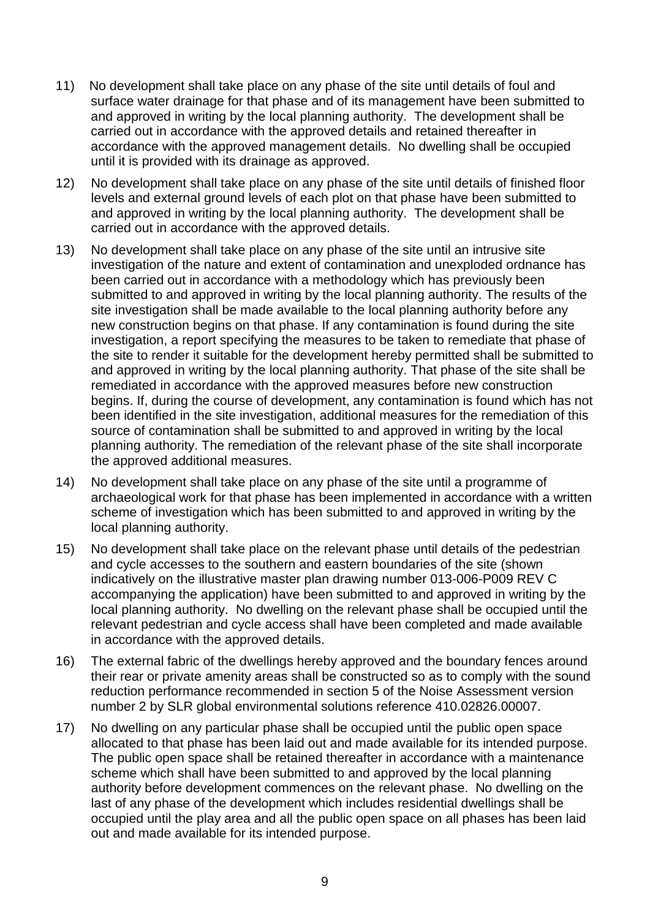- 11) No development shall take place on any phase of the site until details of foul and surface water drainage for that phase and of its management have been submitted to and approved in writing by the local planning authority. The development shall be carried out in accordance with the approved details and retained thereafter in accordance with the approved management details. No dwelling shall be occupied until it is provided with its drainage as approved.
- 12) No development shall take place on any phase of the site until details of finished floor levels and external ground levels of each plot on that phase have been submitted to and approved in writing by the local planning authority. The development shall be carried out in accordance with the approved details.
- 13) No development shall take place on any phase of the site until an intrusive site investigation of the nature and extent of contamination and unexploded ordnance has been carried out in accordance with a methodology which has previously been submitted to and approved in writing by the local planning authority. The results of the site investigation shall be made available to the local planning authority before any new construction begins on that phase. If any contamination is found during the site investigation, a report specifying the measures to be taken to remediate that phase of the site to render it suitable for the development hereby permitted shall be submitted to and approved in writing by the local planning authority. That phase of the site shall be remediated in accordance with the approved measures before new construction begins. If, during the course of development, any contamination is found which has not been identified in the site investigation, additional measures for the remediation of this source of contamination shall be submitted to and approved in writing by the local planning authority. The remediation of the relevant phase of the site shall incorporate the approved additional measures.
- 14) No development shall take place on any phase of the site until a programme of archaeological work for that phase has been implemented in accordance with a written scheme of investigation which has been submitted to and approved in writing by the local planning authority.
- 15) No development shall take place on the relevant phase until details of the pedestrian and cycle accesses to the southern and eastern boundaries of the site (shown indicatively on the illustrative master plan drawing number 013-006-P009 REV C accompanying the application) have been submitted to and approved in writing by the local planning authority. No dwelling on the relevant phase shall be occupied until the relevant pedestrian and cycle access shall have been completed and made available in accordance with the approved details.
- 16) The external fabric of the dwellings hereby approved and the boundary fences around their rear or private amenity areas shall be constructed so as to comply with the sound reduction performance recommended in section 5 of the Noise Assessment version number 2 by SLR global environmental solutions reference 410.02826.00007.
- 17) No dwelling on any particular phase shall be occupied until the public open space allocated to that phase has been laid out and made available for its intended purpose. The public open space shall be retained thereafter in accordance with a maintenance scheme which shall have been submitted to and approved by the local planning authority before development commences on the relevant phase. No dwelling on the last of any phase of the development which includes residential dwellings shall be occupied until the play area and all the public open space on all phases has been laid out and made available for its intended purpose.